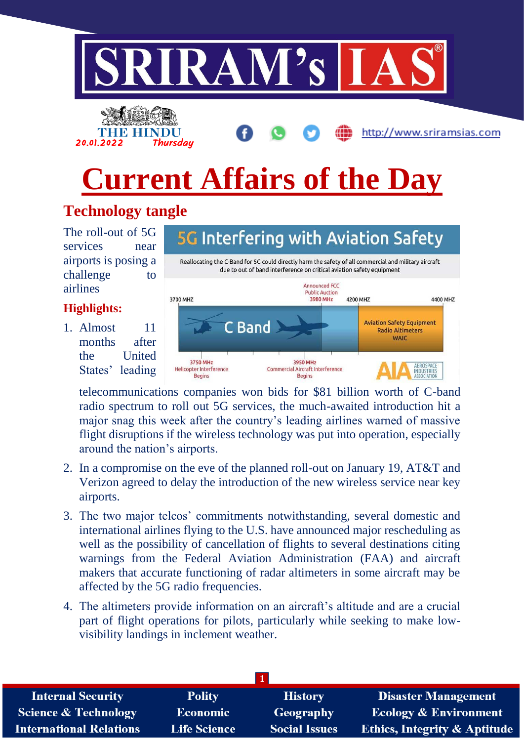



http://www.sriramsias.com

# **Current Affairs of the Day**

## **Technology tangle**

The roll-out of 5G services near airports is posing a challenge to airlines

### **Highlights:**

1. Almost 11 months after the United States' leading



telecommunications companies won bids for \$81 billion worth of C-band radio spectrum to roll out 5G services, the much-awaited introduction hit a major snag this week after the country's leading airlines warned of massive flight disruptions if the wireless technology was put into operation, especially around the nation's airports.

- 2. In a compromise on the eve of the planned roll-out on January 19, AT&T and Verizon agreed to delay the introduction of the new wireless service near key airports.
- 3. The two major telcos' commitments notwithstanding, several domestic and international airlines flying to the U.S. have announced major rescheduling as well as the possibility of cancellation of flights to several destinations citing warnings from the Federal Aviation Administration (FAA) and aircraft makers that accurate functioning of radar altimeters in some aircraft may be affected by the 5G radio frequencies.
- 4. The altimeters provide information on an aircraft's altitude and are a crucial part of flight operations for pilots, particularly while seeking to make lowvisibility landings in inclement weather.

| <b>Internal Security</b>        | <b>Polity</b>       | <b>History</b>       | <b>Disaster Management</b>              |
|---------------------------------|---------------------|----------------------|-----------------------------------------|
| <b>Science &amp; Technology</b> | Economic            | Geography            | <b>Ecology &amp; Environment</b>        |
| <b>International Relations</b>  | <b>Life Science</b> | <b>Social Issues</b> | <b>Ethics, Integrity &amp; Aptitude</b> |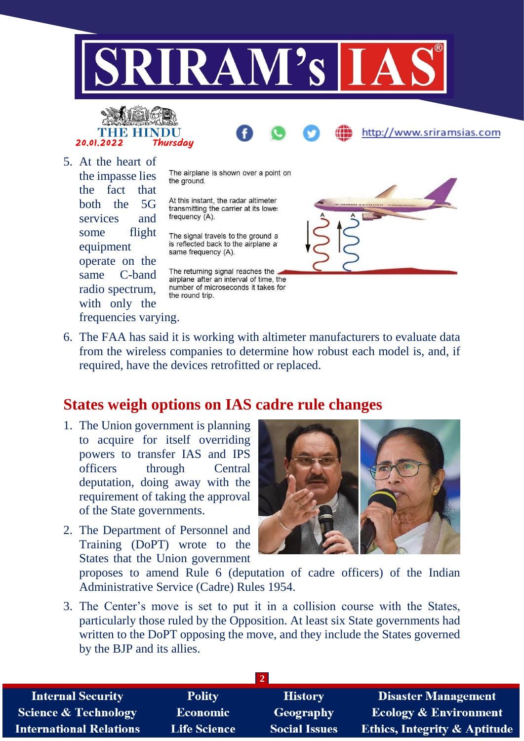



5. At the heart of the impasse lies the fact that both the 5G services and some flight equipment operate on the same C-band radio spectrum, with only the frequencies varying.

The airplane is shown over a point on the ground.

At this instant, the radar altimeter transmitting the carrier at its lowe: frequency (A).

The signal travels to the ground a is reflected back to the airplane at same frequency (A).

The returning signal reaches the airplane after an interval of time, the number of microseconds it takes for the round trip.



http://www.sriramsias.com

6. The FAA has said it is working with altimeter manufacturers to evaluate data from the wireless companies to determine how robust each model is, and, if required, have the devices retrofitted or replaced.

## **States weigh options on IAS cadre rule changes**

- 1. The Union government is planning to acquire for itself overriding powers to transfer IAS and IPS officers through Central deputation, doing away with the requirement of taking the approval of the State governments.
- 2. The Department of Personnel and Training (DoPT) wrote to the States that the Union government



proposes to amend Rule 6 (deputation of cadre officers) of the Indian Administrative Service (Cadre) Rules 1954.

3. The Center's move is set to put it in a collision course with the States, particularly those ruled by the Opposition. At least six State governments had written to the DoPT opposing the move, and they include the States governed by the BJP and its allies.

| <b>Internal Security</b>        | <b>Polity</b>       | <b>History</b>       | <b>Disaster Management</b>              |
|---------------------------------|---------------------|----------------------|-----------------------------------------|
| <b>Science &amp; Technology</b> | <b>Economic</b>     | Geography            | <b>Ecology &amp; Environment</b>        |
| <b>International Relations</b>  | <b>Life Science</b> | <b>Social Issues</b> | <b>Ethics, Integrity &amp; Aptitude</b> |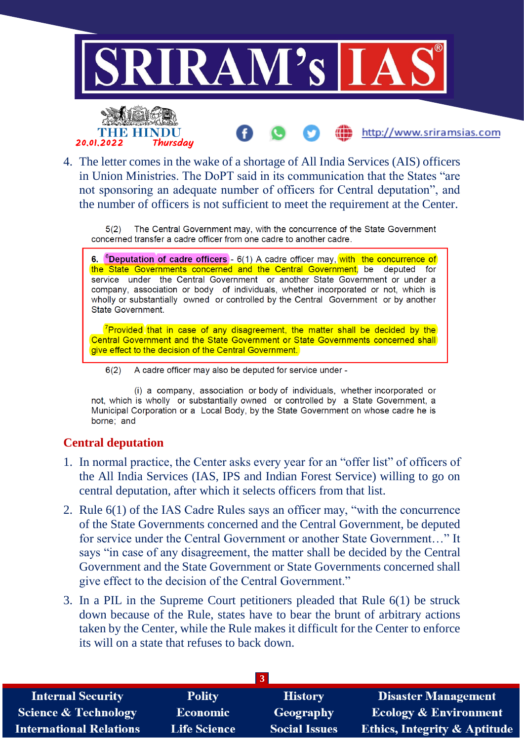

4. The letter comes in the wake of a shortage of All India Services (AIS) officers in Union Ministries. The DoPT said in its communication that the States "are not sponsoring an adequate number of officers for Central deputation", and the number of officers is not sufficient to meet the requirement at the Center.

The Central Government may, with the concurrence of the State Government  $5(2)$ concerned transfer a cadre officer from one cadre to another cadre.

6. <sup>6</sup>Deputation of cadre officers -  $6(1)$  A cadre officer may, with the concurrence of the State Governments concerned and the Central Government, be deputed for service under the Central Government or another State Government or under a company, association or body of individuals, whether incorporated or not, which is wholly or substantially owned or controlled by the Central Government or by another State Government.

<sup>7</sup>Provided that in case of any disagreement, the matter shall be decided by the Central Government and the State Government or State Governments concerned shall give effect to the decision of the Central Government.

 $6(2)$ A cadre officer may also be deputed for service under -

(i) a company, association or body of individuals, whether incorporated or not, which is wholly or substantially owned or controlled by a State Government, a Municipal Corporation or a Local Body, by the State Government on whose cadre he is borne: and

#### **Central deputation**

- 1. In normal practice, the Center asks every year for an "offer list" of officers of the All India Services (IAS, IPS and Indian Forest Service) willing to go on central deputation, after which it selects officers from that list.
- 2. Rule 6(1) of the IAS Cadre Rules says an officer may, "with the concurrence of the State Governments concerned and the Central Government, be deputed for service under the Central Government or another State Government…" It says "in case of any disagreement, the matter shall be decided by the Central Government and the State Government or State Governments concerned shall give effect to the decision of the Central Government."
- 3. In a PIL in the Supreme Court petitioners pleaded that Rule 6(1) be struck down because of the Rule, states have to bear the brunt of arbitrary actions taken by the Center, while the Rule makes it difficult for the Center to enforce its will on a state that refuses to back down.

| <b>Internal Security</b>        | <b>Polity</b>       | <b>History</b>       | <b>Disaster Management</b>              |
|---------------------------------|---------------------|----------------------|-----------------------------------------|
| <b>Science &amp; Technology</b> | <b>Economic</b>     | Geography            | <b>Ecology &amp; Environment</b>        |
| <b>International Relations</b>  | <b>Life Science</b> | <b>Social Issues</b> | <b>Ethics, Integrity &amp; Aptitude</b> |